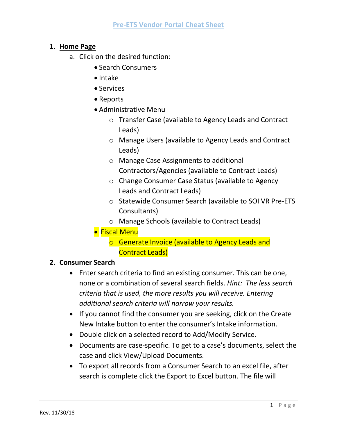## **1. Home Page**

- a. Click on the desired function:
	- Search Consumers
	- $\bullet$  Intake
	- Services
	- Reports
	- Administrative Menu
		- o Transfer Case (available to Agency Leads and Contract Leads)
		- o Manage Users (available to Agency Leads and Contract Leads)
		- o Manage Case Assignments to additional Contractors/Agencies (available to Contract Leads)
		- o Change Consumer Case Status (available to Agency Leads and Contract Leads)
		- o Statewide Consumer Search (available to SOI VR Pre-ETS Consultants)
		- o Manage Schools (available to Contract Leads)
	- **Fiscal Menu** 
		- o Generate Invoice (available to Agency Leads and Contract Leads)

# **2. Consumer Search**

- Enter search criteria to find an existing consumer. This can be one, none or a combination of several search fields. *Hint: The less search criteria that is used, the more results you will receive. Entering additional search criteria will narrow your results.*
- If you cannot find the consumer you are seeking, click on the Create New Intake button to enter the consumer's Intake information.
- Double click on a selected record to Add/Modify Service.
- Documents are case-specific. To get to a case's documents, select the case and click View/Upload Documents.
- To export all records from a Consumer Search to an excel file, after search is complete click the Export to Excel button. The file will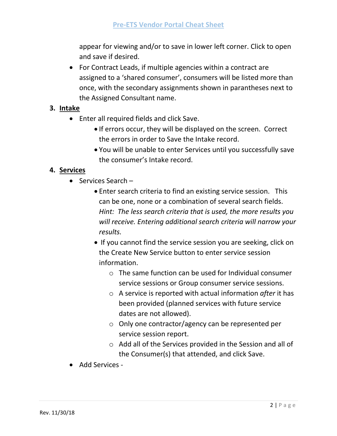appear for viewing and/or to save in lower left corner. Click to open and save if desired.

 For Contract Leads, if multiple agencies within a contract are assigned to a 'shared consumer', consumers will be listed more than once, with the secondary assignments shown in parantheses next to the Assigned Consultant name.

## **3. Intake**

- Enter all required fields and click Save.
	- If errors occur, they will be displayed on the screen. Correct the errors in order to Save the Intake record.
	- You will be unable to enter Services until you successfully save the consumer's Intake record.

## **4. Services**

- $\bullet$  Services Search
	- Enter search criteria to find an existing service session. This can be one, none or a combination of several search fields. *Hint: The less search criteria that is used, the more results you will receive. Entering additional search criteria will narrow your results.*
	- If you cannot find the service session you are seeking, click on the Create New Service button to enter service session information.
		- o The same function can be used for Individual consumer service sessions or Group consumer service sessions.
		- o A service is reported with actual information *after* it has been provided (planned services with future service dates are not allowed).
		- o Only one contractor/agency can be represented per service session report.
		- o Add all of the Services provided in the Session and all of the Consumer(s) that attended, and click Save.
- Add Services -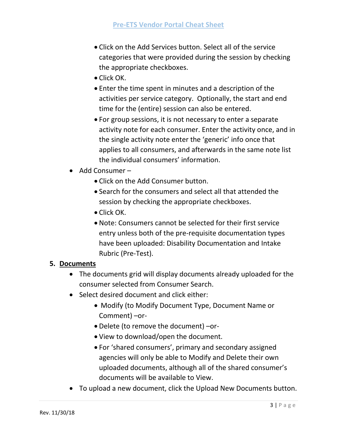- Click on the Add Services button. Select all of the service categories that were provided during the session by checking the appropriate checkboxes.
- Click OK.
- Enter the time spent in minutes and a description of the activities per service category. Optionally, the start and end time for the (entire) session can also be entered.
- For group sessions, it is not necessary to enter a separate activity note for each consumer. Enter the activity once, and in the single activity note enter the 'generic' info once that applies to all consumers, and afterwards in the same note list the individual consumers' information.
- Add Consumer
	- Click on the Add Consumer button.
	- Search for the consumers and select all that attended the session by checking the appropriate checkboxes.
	- Click OK.
	- Note: Consumers cannot be selected for their first service entry unless both of the pre-requisite documentation types have been uploaded: Disability Documentation and Intake Rubric (Pre-Test).

### **5. Documents**

- The documents grid will display documents already uploaded for the consumer selected from Consumer Search.
- Select desired document and click either:
	- Modify (to Modify Document Type, Document Name or Comment) –or-
	- Delete (to remove the document) –or-
	- View to download/open the document.
	- For 'shared consumers', primary and secondary assigned agencies will only be able to Modify and Delete their own uploaded documents, although all of the shared consumer's documents will be available to View.
- To upload a new document, click the Upload New Documents button.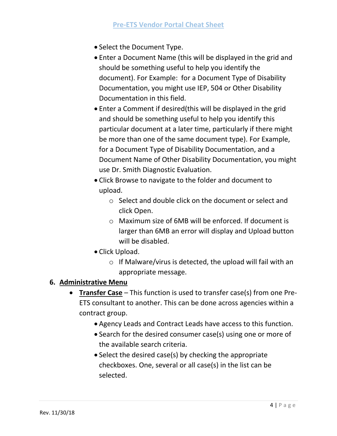- Select the Document Type.
- Enter a Document Name (this will be displayed in the grid and should be something useful to help you identify the document). For Example: for a Document Type of Disability Documentation, you might use IEP, 504 or Other Disability Documentation in this field.
- Enter a Comment if desired(this will be displayed in the grid and should be something useful to help you identify this particular document at a later time, particularly if there might be more than one of the same document type). For Example, for a Document Type of Disability Documentation, and a Document Name of Other Disability Documentation, you might use Dr. Smith Diagnostic Evaluation.
- Click Browse to navigate to the folder and document to upload.
	- o Select and double click on the document or select and click Open.
	- o Maximum size of 6MB will be enforced. If document is larger than 6MB an error will display and Upload button will be disabled.
- Click Upload.
	- o If Malware/virus is detected, the upload will fail with an appropriate message.

### **6. Administrative Menu**

- **Transfer Case** This function is used to transfer case(s) from one Pre-ETS consultant to another. This can be done across agencies within a contract group.
	- Agency Leads and Contract Leads have access to this function.
	- Search for the desired consumer case(s) using one or more of the available search criteria.
	- Select the desired case(s) by checking the appropriate checkboxes. One, several or all case(s) in the list can be selected.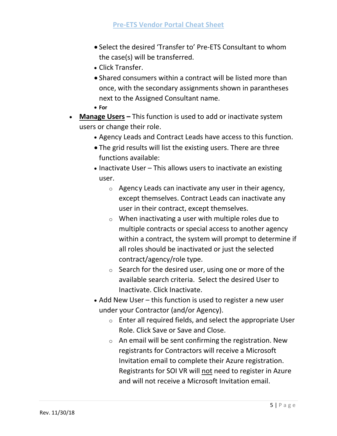- Select the desired 'Transfer to' Pre-ETS Consultant to whom the case(s) will be transferred.
- Click Transfer.
- Shared consumers within a contract will be listed more than once, with the secondary assignments shown in parantheses next to the Assigned Consultant name.
- **For**
- **Manage Users –** This function is used to add or inactivate system users or change their role.
	- Agency Leads and Contract Leads have access to this function.
	- The grid results will list the existing users. There are three functions available:
	- Inactivate User This allows users to inactivate an existing user.
		- $\circ$  Agency Leads can inactivate any user in their agency, except themselves. Contract Leads can inactivate any user in their contract, except themselves.
		- $\circ$  When inactivating a user with multiple roles due to multiple contracts or special access to another agency within a contract, the system will prompt to determine if all roles should be inactivated or just the selected contract/agency/role type.
		- $\circ$  Search for the desired user, using one or more of the available search criteria. Select the desired User to Inactivate. Click Inactivate.
	- Add New User this function is used to register a new user under your Contractor (and/or Agency).
		- $\circ$  Enter all required fields, and select the appropriate User Role. Click Save or Save and Close.
		- $\circ$  An email will be sent confirming the registration. New registrants for Contractors will receive a Microsoft Invitation email to complete their Azure registration. Registrants for SOI VR will not need to register in Azure and will not receive a Microsoft Invitation email.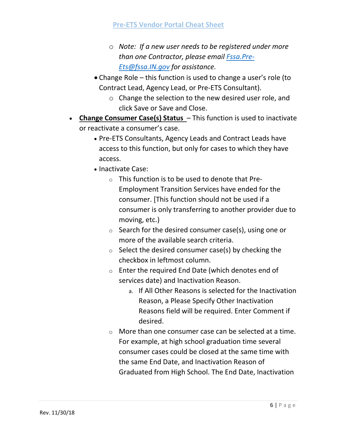- o *Note: If a new user needs to be registered under more than one Contractor, please email [Fssa.Pre-](mailto:Fssa.Pre-Ets@fssa.IN.gov)[Ets@fssa.IN.gov](mailto:Fssa.Pre-Ets@fssa.IN.gov) for assistance.*
- Change Role this function is used to change a user's role (to Contract Lead, Agency Lead, or Pre-ETS Consultant).
	- o Change the selection to the new desired user role, and click Save or Save and Close.
- **Change Consumer Case(s) Status**  This function is used to inactivate or reactivate a consumer's case.
	- Pre-ETS Consultants, Agency Leads and Contract Leads have access to this function, but only for cases to which they have access.
	- Inactivate Case:
		- $\circ$  This function is to be used to denote that Pre-Employment Transition Services have ended for the consumer. [This function should not be used if a consumer is only transferring to another provider due to moving, etc.)
		- $\circ$  Search for the desired consumer case(s), using one or more of the available search criteria.
		- $\circ$  Select the desired consumer case(s) by checking the checkbox in leftmost column.
		- $\circ$  Enter the required End Date (which denotes end of services date) and Inactivation Reason.
			- a. If All Other Reasons is selected for the Inactivation Reason, a Please Specify Other Inactivation Reasons field will be required. Enter Comment if desired.
		- $\circ$  More than one consumer case can be selected at a time. For example, at high school graduation time several consumer cases could be closed at the same time with the same End Date, and Inactivation Reason of Graduated from High School. The End Date, Inactivation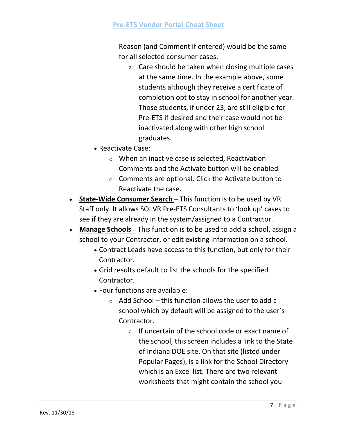### **Pre-ETS Vendor Portal Cheat Sheet**

Reason (and Comment if entered) would be the same for all selected consumer cases.

- a. Care should be taken when closing multiple cases at the same time. In the example above, some students although they receive a certificate of completion opt to stay in school for another year. Those students, if under 23, are still eligible for Pre-ETS if desired and their case would not be inactivated along with other high school graduates.
- Reactivate Case:
	- o When an inactive case is selected, Reactivation Comments and the Activate button will be enabled.
	- $\circ$  Comments are optional. Click the Activate button to Reactivate the case.
- **State-Wide Consumer Search**  This function is to be used by VR Staff only. It allows SOI VR Pre-ETS Consultants to 'look up' cases to see if they are already in the system/assigned to a Contractor.
- **Manage Schools**  This function is to be used to add a school, assign a school to your Contractor, or edit existing information on a school.
	- Contract Leads have access to this function, but only for their Contractor.
	- Grid results default to list the schools for the specified Contractor.
	- Four functions are available:
		- $\circ$  Add School this function allows the user to add a school which by default will be assigned to the user's Contractor.
			- a. If uncertain of the school code or exact name of the school, this screen includes a link to the State of Indiana DOE site. On that site (listed under Popular Pages), is a link for the School Directory which is an Excel list. There are two relevant worksheets that might contain the school you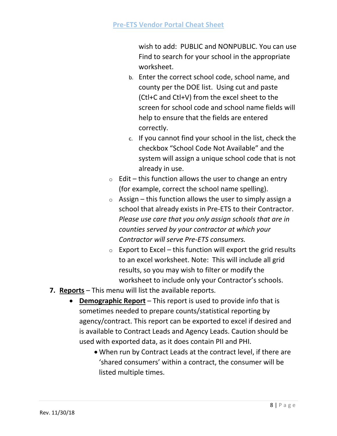wish to add: PUBLIC and NONPUBLIC. You can use Find to search for your school in the appropriate worksheet.

- b. Enter the correct school code, school name, and county per the DOE list. Using cut and paste (Ctl+C and Ctl+V) from the excel sheet to the screen for school code and school name fields will help to ensure that the fields are entered correctly.
- c. If you cannot find your school in the list, check the checkbox "School Code Not Available" and the system will assign a unique school code that is not already in use.
- $\circ$  Edit this function allows the user to change an entry (for example, correct the school name spelling).
- $\circ$  Assign this function allows the user to simply assign a school that already exists in Pre-ETS to their Contractor. *Please use care that you only assign schools that are in counties served by your contractor at which your Contractor will serve Pre-ETS consumers.*
- $\circ$  Export to Excel this function will export the grid results to an excel worksheet. Note: This will include all grid results, so you may wish to filter or modify the worksheet to include only your Contractor's schools.
- **7. Reports** This menu will list the available reports.
	- **Demographic Report** This report is used to provide info that is sometimes needed to prepare counts/statistical reporting by agency/contract. This report can be exported to excel if desired and is available to Contract Leads and Agency Leads. Caution should be used with exported data, as it does contain PII and PHI.
		- When run by Contract Leads at the contract level, if there are 'shared consumers' within a contract, the consumer will be listed multiple times.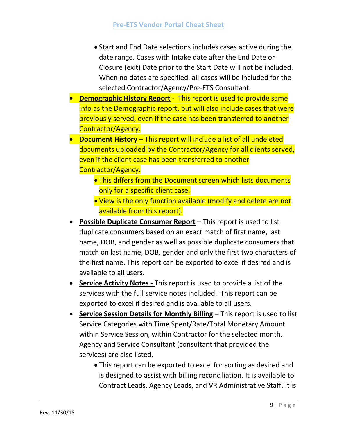- Start and End Date selections includes cases active during the date range. Cases with Intake date after the End Date or Closure (exit) Date prior to the Start Date will not be included. When no dates are specified, all cases will be included for the selected Contractor/Agency/Pre-ETS Consultant.
- **Demographic History Report** This report is used to provide same info as the Demographic report, but will also include cases that were previously served, even if the case has been transferred to another Contractor/Agency.
- **Document History** This report will include a list of all undeleted documents uploaded by the Contractor/Agency for all clients served, even if the client case has been transferred to another Contractor/Agency.
	- **This differs from the Document screen which lists documents** only for a specific client case.
	- View is the only function available (modify and delete are not available from this report).
- **Possible Duplicate Consumer Report** This report is used to list duplicate consumers based on an exact match of first name, last name, DOB, and gender as well as possible duplicate consumers that match on last name, DOB, gender and only the first two characters of the first name. This report can be exported to excel if desired and is available to all users.
- **Service Activity Notes -** This report is used to provide a list of the services with the full service notes included. This report can be exported to excel if desired and is available to all users.
- **Service Session Details for Monthly Billing** This report is used to list Service Categories with Time Spent/Rate/Total Monetary Amount within Service Session, within Contractor for the selected month. Agency and Service Consultant (consultant that provided the services) are also listed.
	- This report can be exported to excel for sorting as desired and is designed to assist with billing reconciliation. It is available to Contract Leads, Agency Leads, and VR Administrative Staff. It is